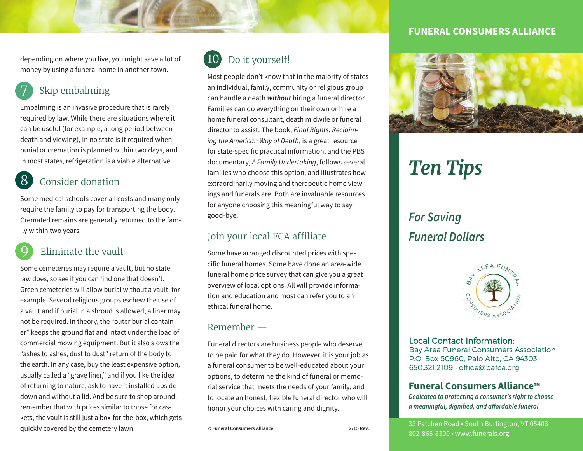depending on where you live, you might save a lot of money by using a funeral home in another town.

### Skip embalming

Embalming is an invasive procedure that is rarely required by law. While there are situations where it can be useful (for example, a long period between death and viewing), in no state is it required when burial or cremation is planned within two days, and in most states, refrigeration is a viable alternative.

### 8 Consider donation

Some medical schools cover all costs and many only require the family to pay for transporting the body. Cremated remains are generally returned to the family within two years.

### Eliminate the vault

Some cemeteries may require a vault, but no state law does, so see if you can find one that doesn't. Green cemeteries will allow burial without a vault, for example. Several religious groups eschew the use of a vault and if burial in a shroud is allowed, a liner may not be required. In theory, the "outer burial container" keeps the ground flat and intact under the load of commercial mowing equipment. But it also slows the "ashes to ashes, dust to dust" return of the body to the earth. In any case, buy the least expensive option, usually called a "grave liner," and if you like the idea of returning to nature, ask to have it installed upside down and without a lid. And be sure to shop around; remember that with prices similar to those for caskets, the vault is still just a box-for-the-box, which gets quickly covered by the cemetery lawn.



Most people don't know that in the majority of states an individual, family, community or religious group can handle a death *without* hiring a funeral director. Families can do everything on their own or hire a home funeral consultant, death midwife or funeral director to assist. The book, *Final Rights: Reclaiming the American Way of Death*, is a great resource for state-specific practical information, and the PBS documentary, *A Family Undertaking*, follows several families who choose this option, and illustrates how extraordinarily moving and therapeutic home viewings and funerals are. Both are invaluable resources for anyone choosing this meaningful way to say good-bye.

#### Join your local FCA affiliate

Some have arranged discounted prices with specific funeral homes. Some have done an area-wide funeral home price survey that can give you a great overview of local options. All will provide information and education and most can refer you to an ethical funeral home.

#### Remember —

Funeral directors are business people who deserve to be paid for what they do. However, it is your job as a funeral consumer to be well-educated about your options, to determine the kind of funeral or memorial service that meets the needs of your family, and to locate an honest, flexible funeral director who will honor your choices with caring and dignity.

#### **FUNERAL CONSUMERS ALLIANCE**



# *Ten Tips*

# *For Saving Funeral Dollars*



#### Local Contact Information:

Bay Area Funeral Consumers Association P.O. Box 50960, Palo Alto, CA 94303 650.321.2109 · office@bafca.org

#### **Funeral Consumers Alliance™**

*Dedicated to protecting a consumer's right to choose a meaningful, dignified, and a***!***ordable funeral*

33 Patchen Road • South Burlington, VT 05403 802-865-8300 • www.funerals.org